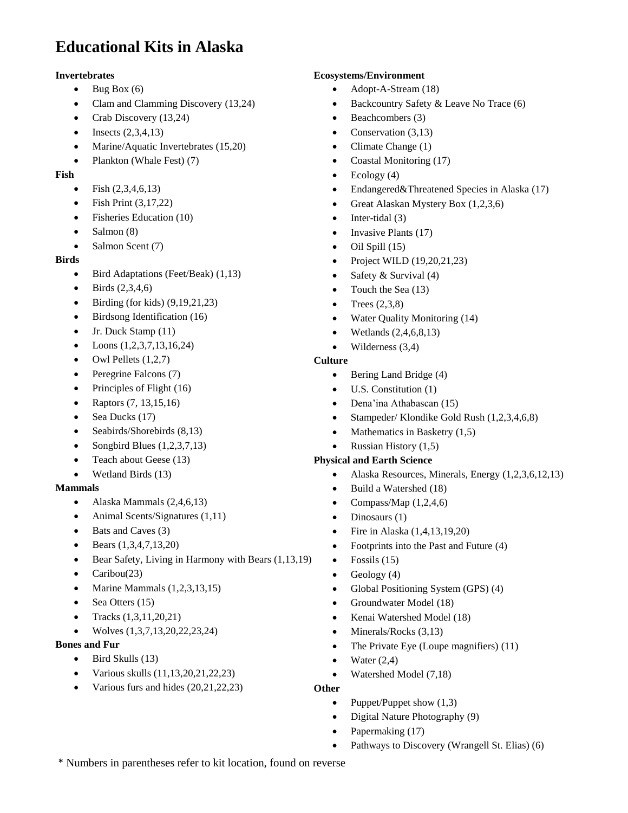# **Educational Kits in Alaska**

#### **Invertebrates**

- $\bullet$  Bug Box (6)
- Clam and Clamming Discovery (13,24)
- Crab Discovery (13,24)
- $\bullet$  Insects  $(2,3,4,13)$
- Marine/Aquatic Invertebrates (15,20)
- Plankton (Whale Fest) (7)

#### **Fish**

- Fish  $(2,3,4,6,13)$
- Fish Print (3,17,22)
- Fisheries Education (10)
- Salmon (8)
- $\bullet$  Salmon Scent (7)

### **Birds**

- Bird Adaptations (Feet/Beak) (1,13)
- $\bullet$  Birds (2,3,4,6)
- $\bullet$  Birding (for kids) (9,19,21,23)
- Birdsong Identification (16)
- $\bullet$  Jr. Duck Stamp (11)
- $\bullet$  Loons (1,2,3,7,13,16,24)
- $\bullet$  Owl Pellets  $(1,2,7)$
- Peregrine Falcons (7)
- Principles of Flight (16)
- Raptors  $(7, 13, 15, 16)$
- Sea Ducks (17)
- Seabirds/Shorebirds  $(8,13)$
- Songbird Blues  $(1,2,3,7,13)$
- Teach about Geese (13)
- Wetland Birds (13)

#### **Mammals**

- Alaska Mammals (2,4,6,13)
- $\bullet$  Animal Scents/Signatures (1,11)
- Bats and Caves (3)
- Bears (1,3,4,7,13,20)
- Bear Safety, Living in Harmony with Bears (1,13,19)
- Caribou(23)
- Marine Mammals (1,2,3,13,15)
- Sea Otters  $(15)$
- Tracks  $(1,3,11,20,21)$
- Wolves (1,3,7,13,20,22,23,24)

#### **Bones and Fur**

- $\bullet$  Bird Skulls (13)
- Various skulls  $(11, 13, 20, 21, 22, 23)$
- Various furs and hides  $(20,21,22,23)$

### **Ecosystems/Environment**

- Adopt-A-Stream (18)
- Backcountry Safety & Leave No Trace (6)
- $\bullet$  Beachcombers (3)
- Conservation  $(3,13)$
- Climate Change (1)
- Coastal Monitoring (17)
- $\bullet$  Ecology (4)
- Endangered&Threatened Species in Alaska (17)
- Great Alaskan Mystery Box  $(1,2,3,6)$
- $\bullet$  Inter-tidal (3)
- $\bullet$  Invasive Plants (17)
- $\bullet$  Oil Spill (15)
- Project WILD  $(19,20,21,23)$
- Safety & Survival  $(4)$
- Touch the Sea  $(13)$
- $\bullet$  Trees  $(2,3,8)$
- Water Quality Monitoring (14)
- $\bullet$  Wetlands  $(2,4,6,8,13)$
- Wilderness (3,4)

#### **Culture**

- $\bullet$  Bering Land Bridge (4)
- U.S. Constitution (1)
- Dena'ina Athabascan (15)
- $\bullet$  Stampeder/ Klondike Gold Rush  $(1,2,3,4,6,8)$
- Mathematics in Basketry  $(1,5)$
- Russian History  $(1,5)$

#### **Physical and Earth Science**

- Alaska Resources, Minerals, Energy  $(1,2,3,6,12,13)$
- Build a Watershed (18)
- Compass/Map  $(1,2,4,6)$
- $\bullet$  Dinosaurs (1)
- $\bullet$  Fire in Alaska  $(1,4,13,19,20)$
- Footprints into the Past and Future (4)
- $\bullet$  Fossils (15)
- Geology (4)
- Global Positioning System (GPS) (4)
- Groundwater Model (18)
- Kenai Watershed Model (18)
- $\bullet$  Minerals/Rocks (3,13)
- The Private Eye (Loupe magnifiers) (11)
- $\bullet$  Water  $(2,4)$
- Watershed Model (7,18)

#### **Other**

- Puppet/Puppet show  $(1,3)$
- Digital Nature Photography (9)
- Papermaking (17)
- Pathways to Discovery (Wrangell St. Elias) (6)

\* Numbers in parentheses refer to kit location, found on reverse